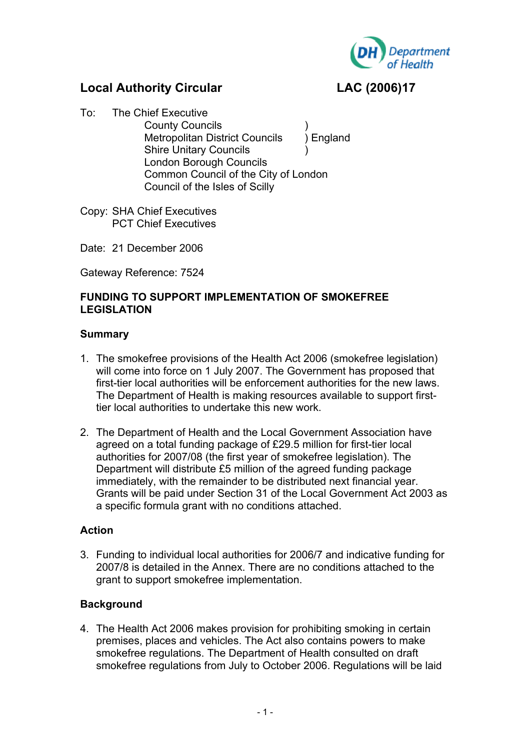

# **Local Authority Circular LAC (2006)17**

- To: The Chief Executive County Councils ) Metropolitan District Councils ) England Shire Unitary Councils ) London Borough Councils Common Council of the City of London Council of the Isles of Scilly
- Copy: SHA Chief Executives PCT Chief Executives
- Date: 21 December 2006

Gateway Reference: 7524

## **FUNDING TO SUPPORT IMPLEMENTATION OF SMOKEFREE LEGISLATION**

## **Summary**

- 1. The smokefree provisions of the Health Act 2006 (smokefree legislation) will come into force on 1 July 2007. The Government has proposed that first-tier local authorities will be enforcement authorities for the new laws. The Department of Health is making resources available to support firsttier local authorities to undertake this new work.
- 2. The Department of Health and the Local Government Association have agreed on a total funding package of £29.5 million for first-tier local authorities for 2007/08 (the first year of smokefree legislation). The Department will distribute £5 million of the agreed funding package immediately, with the remainder to be distributed next financial year. Grants will be paid under Section 31 of the Local Government Act 2003 as a specific formula grant with no conditions attached.

## **Action**

3. Funding to individual local authorities for 2006/7 and indicative funding for 2007/8 is detailed in the Annex. There are no conditions attached to the grant to support smokefree implementation.

## **Background**

4. The Health Act 2006 makes provision for prohibiting smoking in certain premises, places and vehicles. The Act also contains powers to make smokefree regulations. The Department of Health consulted on draft smokefree regulations from July to October 2006. Regulations will be laid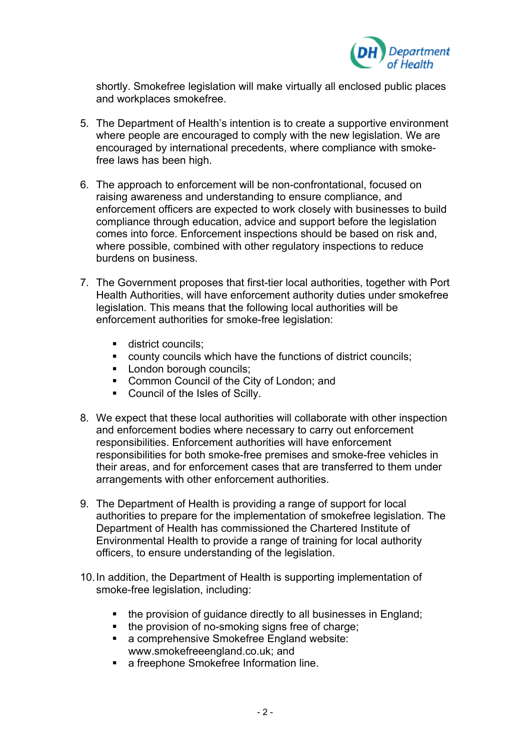

shortly. Smokefree legislation will make virtually all enclosed public places and workplaces smokefree.

- 5. The Department of Health's intention is to create a supportive environment where people are encouraged to comply with the new legislation. We are encouraged by international precedents, where compliance with smokefree laws has been high.
- 6. The approach to enforcement will be non-confrontational, focused on raising awareness and understanding to ensure compliance, and enforcement officers are expected to work closely with businesses to build compliance through education, advice and support before the legislation comes into force. Enforcement inspections should be based on risk and, where possible, combined with other regulatory inspections to reduce burdens on business.
- 7. The Government proposes that first-tier local authorities, together with Port Health Authorities, will have enforcement authority duties under smokefree legislation. This means that the following local authorities will be enforcement authorities for smoke-free legislation:
	- **district councils:**
	- county councils which have the functions of district councils;
	- **London borough councils;**
	- **EXECOMMON COUNCIL OF the City of London; and**
	- Council of the Isles of Scilly.
- 8. We expect that these local authorities will collaborate with other inspection and enforcement bodies where necessary to carry out enforcement responsibilities. Enforcement authorities will have enforcement responsibilities for both smoke-free premises and smoke-free vehicles in their areas, and for enforcement cases that are transferred to them under arrangements with other enforcement authorities.
- 9. The Department of Health is providing a range of support for local authorities to prepare for the implementation of smokefree legislation. The Department of Health has commissioned the Chartered Institute of Environmental Health to provide a range of training for local authority officers, to ensure understanding of the legislation.
- 10. In addition, the Department of Health is supporting implementation of smoke-free legislation, including:
	- the provision of guidance directly to all businesses in England;
	- the provision of no-smoking signs free of charge;
	- a comprehensive Smokefree England website: www.smokefreeengland.co.uk; and
	- a freephone Smokefree Information line.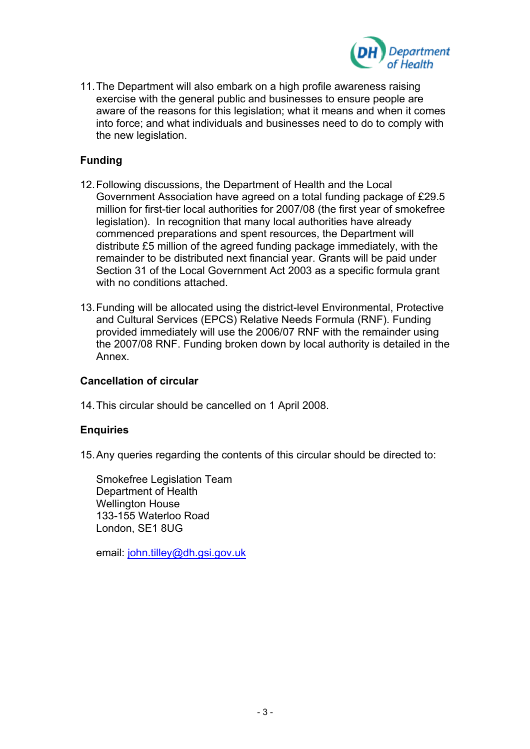

11. The Department will also embark on a high profile awareness raising exercise with the general public and businesses to ensure people are aware of the reasons for this legislation; what it means and when it comes into force; and what individuals and businesses need to do to comply with the new legislation.

## **Funding**

- 12. Following discussions, the Department of Health and the Local Government Association have agreed on a total funding package of £29.5 million for first-tier local authorities for 2007/08 (the first year of smokefree legislation). In recognition that many local authorities have already commenced preparations and spent resources, the Department will distribute £5 million of the agreed funding package immediately, with the remainder to be distributed next financial year. Grants will be paid under Section 31 of the Local Government Act 2003 as a specific formula grant with no conditions attached.
- 13. Funding will be allocated using the district-level Environmental, Protective and Cultural Services (EPCS) Relative Needs Formula (RNF). Funding provided immediately will use the 2006/07 RNF with the remainder using the 2007/08 RNF. Funding broken down by local authority is detailed in the Annex.

#### **Cancellation of circular**

14. This circular should be cancelled on 1 April 2008.

#### **Enquiries**

15. Any queries regarding the contents of this circular should be directed to:

Smokefree Legislation Team Department of Health Wellington House 133-155 Waterloo Road London, SE1 8UG

email: [john.tilley@dh.gsi.gov.uk](mailto:john.tilley@dh.gsi.gov.uk)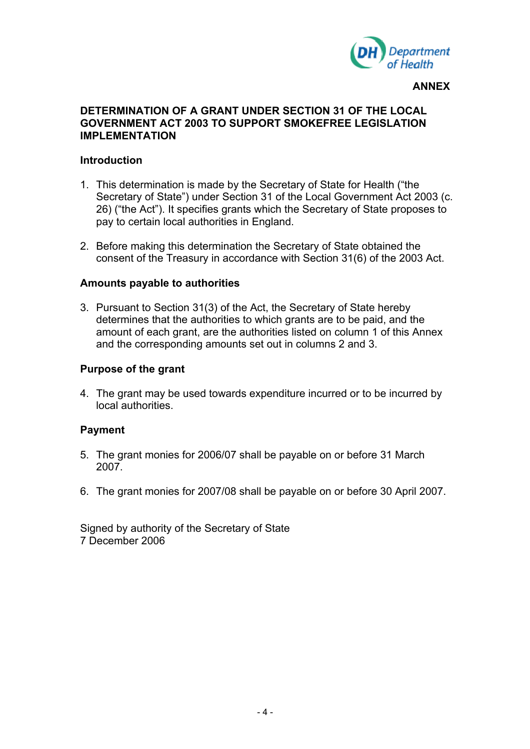

#### **ANNEX**

### **DETERMINATION OF A GRANT UNDER SECTION 31 OF THE LOCAL GOVERNMENT ACT 2003 TO SUPPORT SMOKEFREE LEGISLATION IMPLEMENTATION**

#### **Introduction**

- 1. This determination is made by the Secretary of State for Health ("the Secretary of State") under Section 31 of the Local Government Act 2003 (c. 26) ("the Act"). It specifies grants which the Secretary of State proposes to pay to certain local authorities in England.
- 2. Before making this determination the Secretary of State obtained the consent of the Treasury in accordance with Section 31(6) of the 2003 Act.

### **Amounts payable to authorities**

3. Pursuant to Section 31(3) of the Act, the Secretary of State hereby determines that the authorities to which grants are to be paid, and the amount of each grant, are the authorities listed on column 1 of this Annex and the corresponding amounts set out in columns 2 and 3.

#### **Purpose of the grant**

4. The grant may be used towards expenditure incurred or to be incurred by local authorities.

#### **Payment**

- 5. The grant monies for 2006/07 shall be payable on or before 31 March 2007.
- 6. The grant monies for 2007/08 shall be payable on or before 30 April 2007.

Signed by authority of the Secretary of State 7 December 2006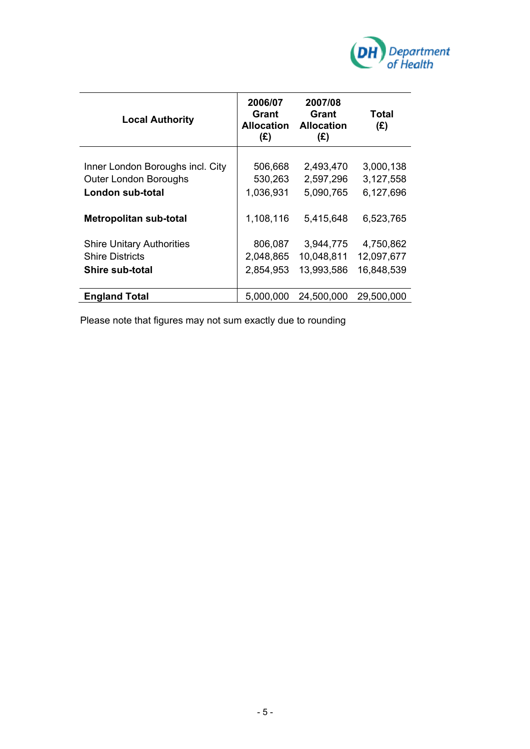

| <b>Local Authority</b>                                                               | 2006/07<br>Grant<br>Allocation<br>(E) | 2007/08<br>Grant<br><b>Allocation</b><br>(E) | Total<br>(E)                          |
|--------------------------------------------------------------------------------------|---------------------------------------|----------------------------------------------|---------------------------------------|
| Inner London Boroughs incl. City<br><b>Outer London Boroughs</b><br>London sub-total | 506,668<br>530,263<br>1,036,931       | 2,493,470<br>2,597,296<br>5,090,765          | 3,000,138<br>3,127,558<br>6,127,696   |
| <b>Metropolitan sub-total</b>                                                        | 1,108,116                             | 5,415,648                                    | 6,523,765                             |
| <b>Shire Unitary Authorities</b><br><b>Shire Districts</b><br><b>Shire sub-total</b> | 806,087<br>2,048,865<br>2,854,953     | 3,944,775<br>10,048,811<br>13,993,586        | 4,750,862<br>12,097,677<br>16,848,539 |
| <b>England Total</b>                                                                 | 5,000,000                             | 24,500,000                                   | 29,500,000                            |

Please note that figures may not sum exactly due to rounding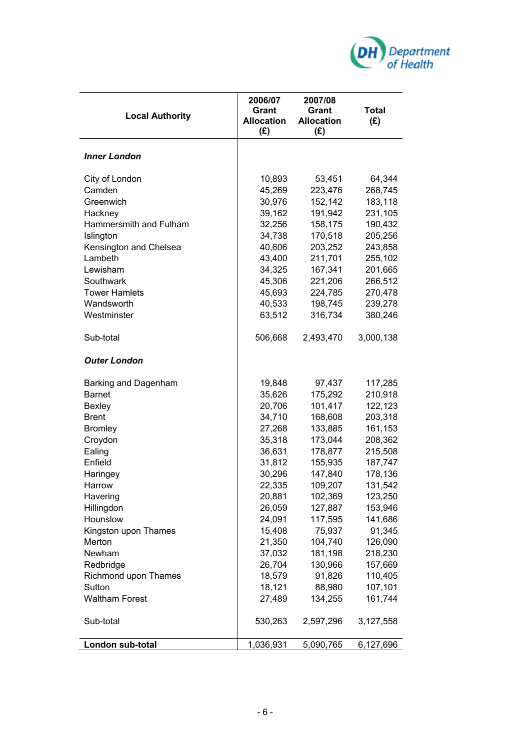

| <b>Local Authority</b> | 2006/07<br>Grant<br><b>Allocation</b><br>(E) | 2007/08<br>Grant<br><b>Allocation</b><br>(E) | <b>Total</b><br>(E) |
|------------------------|----------------------------------------------|----------------------------------------------|---------------------|
| <b>Inner London</b>    |                                              |                                              |                     |
| City of London         | 10,893                                       | 53,451                                       | 64,344              |
| Camden                 | 45,269                                       | 223,476                                      | 268,745             |
| Greenwich              | 30,976                                       | 152,142                                      | 183,118             |
| Hackney                | 39,162                                       | 191,942                                      | 231,105             |
| Hammersmith and Fulham | 32,256                                       | 158,175                                      | 190,432             |
| Islington              | 34,738                                       | 170,518                                      | 205,256             |
| Kensington and Chelsea | 40,606                                       | 203,252                                      | 243,858             |
| Lambeth                | 43,400                                       | 211,701                                      | 255,102             |
| Lewisham               | 34,325                                       | 167,341                                      | 201,665             |
| Southwark              | 45,306                                       | 221,206                                      | 266,512             |
| <b>Tower Hamlets</b>   | 45,693                                       | 224,785                                      | 270,478             |
| Wandsworth             | 40,533                                       | 198,745                                      | 239,278             |
| Westminster            | 63,512                                       | 316,734                                      | 380,246             |
| Sub-total              | 506,668                                      | 2,493,470                                    | 3,000,138           |
| <b>Outer London</b>    |                                              |                                              |                     |
| Barking and Dagenham   | 19,848                                       | 97,437                                       | 117,285             |
| <b>Barnet</b>          | 35,626                                       | 175,292                                      | 210,918             |
| <b>Bexley</b>          | 20,706                                       | 101,417                                      | 122,123             |
| <b>Brent</b>           | 34,710                                       | 168,608                                      | 203,318             |
| <b>Bromley</b>         | 27,268                                       | 133,885                                      | 161,153             |
| Croydon                | 35,318                                       | 173,044                                      | 208,362             |
| Ealing                 | 36,631                                       | 178,877                                      | 215,508             |
| Enfield                | 31,812                                       | 155,935                                      | 187,747             |
| Haringey               | 30,296                                       | 147,840                                      | 178,136             |
| Harrow                 | 22,335                                       | 109,207                                      | 131,542             |
| Havering               | 20,881                                       | 102,369                                      | 123,250             |
| Hillingdon             | 26,059                                       | 127,887                                      | 153,946             |
| Hounslow               | 24,091                                       | 117,595                                      | 141,686             |
| Kingston upon Thames   | 15,408                                       | 75,937                                       | 91,345              |
| Merton                 | 21,350                                       | 104,740                                      | 126,090             |
| Newham                 | 37,032                                       | 181,198                                      | 218,230             |
| Redbridge              | 26,704                                       | 130,966                                      | 157,669             |
| Richmond upon Thames   | 18,579                                       | 91,826                                       | 110,405             |
| Sutton                 | 18,121                                       | 88,980                                       | 107,101             |
| <b>Waltham Forest</b>  | 27,489                                       | 134,255                                      | 161,744             |
| Sub-total              | 530,263                                      | 2,597,296                                    | 3,127,558           |
| London sub-total       | 1,036,931                                    | 5,090,765                                    | 6,127,696           |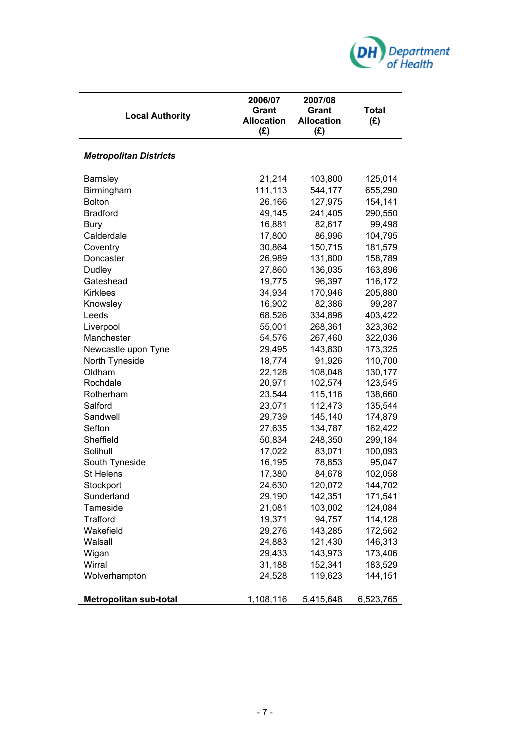

| <b>Local Authority</b>        | 2006/07<br><b>Grant</b><br><b>Allocation</b><br>(E) | 2007/08<br>Grant<br><b>Allocation</b><br>(E) | <b>Total</b><br>(E) |
|-------------------------------|-----------------------------------------------------|----------------------------------------------|---------------------|
| <b>Metropolitan Districts</b> |                                                     |                                              |                     |
| Barnsley                      | 21,214                                              | 103,800                                      | 125,014             |
| Birmingham                    | 111,113                                             | 544,177                                      | 655,290             |
| <b>Bolton</b>                 | 26,166                                              | 127,975                                      | 154,141             |
| <b>Bradford</b>               | 49,145                                              | 241,405                                      | 290,550             |
| <b>Bury</b>                   | 16,881                                              | 82,617                                       | 99,498              |
| Calderdale                    | 17,800                                              | 86,996                                       | 104,795             |
| Coventry                      | 30,864                                              | 150,715                                      | 181,579             |
| Doncaster                     | 26,989                                              | 131,800                                      | 158,789             |
| Dudley                        | 27,860                                              | 136,035                                      | 163,896             |
| Gateshead                     | 19,775                                              | 96,397                                       | 116,172             |
| <b>Kirklees</b>               | 34,934                                              | 170,946                                      | 205,880             |
| Knowsley                      | 16,902                                              | 82,386                                       | 99,287              |
| Leeds                         | 68,526                                              | 334,896                                      | 403,422             |
| Liverpool                     | 55,001                                              | 268,361                                      | 323,362             |
| Manchester                    | 54,576                                              | 267,460                                      | 322,036             |
| Newcastle upon Tyne           | 29,495                                              | 143,830                                      | 173,325             |
| North Tyneside                | 18,774                                              | 91,926                                       | 110,700             |
| Oldham                        | 22,128                                              | 108,048                                      | 130,177             |
| Rochdale                      | 20,971                                              | 102,574                                      | 123,545             |
| Rotherham                     | 23,544                                              | 115,116                                      | 138,660             |
| Salford                       | 23,071                                              | 112,473                                      | 135,544             |
| Sandwell                      | 29,739                                              | 145,140                                      | 174,879             |
| Sefton                        | 27,635                                              | 134,787                                      | 162,422             |
| Sheffield                     | 50,834                                              | 248,350                                      | 299,184             |
| Solihull                      | 17,022                                              | 83,071                                       | 100,093             |
| South Tyneside                | 16,195                                              | 78,853                                       | 95,047              |
| <b>St Helens</b>              | 17,380                                              | 84,678                                       | 102,058             |
| Stockport                     | 24,630                                              | 120,072                                      | 144,702             |
| Sunderland                    | 29,190                                              | 142,351                                      | 171,541             |
| Tameside                      | 21,081                                              | 103,002                                      | 124,084             |
| Trafford                      | 19,371                                              | 94,757                                       | 114,128             |
| Wakefield                     | 29,276                                              | 143,285                                      | 172,562             |
| Walsall                       | 24,883                                              | 121,430                                      | 146,313             |
| Wigan                         | 29,433                                              | 143,973                                      | 173,406             |
| Wirral                        | 31,188                                              | 152,341                                      | 183,529             |
| Wolverhampton                 | 24,528                                              | 119,623                                      | 144,151             |
| <b>Metropolitan sub-total</b> | 1,108,116                                           | 5,415,648                                    | 6,523,765           |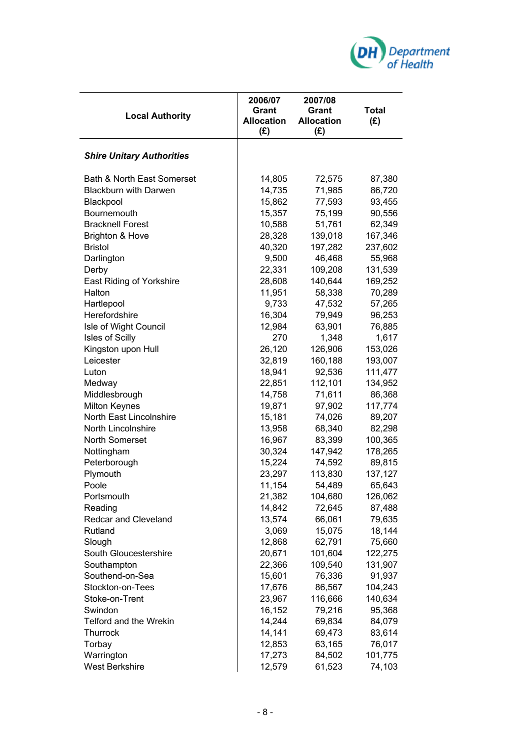

| <b>Local Authority</b>           | 2006/07<br><b>Grant</b><br><b>Allocation</b><br>(E) | 2007/08<br><b>Grant</b><br><b>Allocation</b><br>$(\mathbf{f})$ | <b>Total</b><br>(E) |
|----------------------------------|-----------------------------------------------------|----------------------------------------------------------------|---------------------|
| <b>Shire Unitary Authorities</b> |                                                     |                                                                |                     |
| Bath & North East Somerset       | 14,805                                              | 72,575                                                         | 87,380              |
| <b>Blackburn with Darwen</b>     | 14,735                                              | 71,985                                                         | 86,720              |
| Blackpool                        | 15,862                                              | 77,593                                                         | 93,455              |
| Bournemouth                      | 15,357                                              | 75,199                                                         | 90,556              |
| <b>Bracknell Forest</b>          | 10,588                                              | 51,761                                                         | 62,349              |
| <b>Brighton &amp; Hove</b>       | 28,328                                              | 139,018                                                        | 167,346             |
| <b>Bristol</b>                   | 40,320                                              | 197,282                                                        | 237,602             |
| Darlington                       | 9,500                                               | 46,468                                                         | 55,968              |
| Derby                            | 22,331                                              | 109,208                                                        | 131,539             |
| <b>East Riding of Yorkshire</b>  | 28,608                                              | 140,644                                                        | 169,252             |
| Halton                           | 11,951                                              | 58,338                                                         | 70,289              |
| Hartlepool                       | 9,733                                               | 47,532                                                         | 57,265              |
| Herefordshire                    | 16,304                                              | 79,949                                                         | 96,253              |
| Isle of Wight Council            | 12,984                                              | 63,901                                                         | 76,885              |
| Isles of Scilly                  | 270                                                 | 1,348                                                          | 1,617               |
| Kingston upon Hull               | 26,120                                              | 126,906                                                        | 153,026             |
| Leicester                        | 32,819                                              | 160,188                                                        | 193,007             |
| Luton                            | 18,941                                              | 92,536                                                         | 111,477             |
| Medway                           | 22,851                                              | 112,101                                                        | 134,952             |
| Middlesbrough                    | 14,758                                              | 71,611                                                         | 86,368              |
| <b>Milton Keynes</b>             | 19,871                                              | 97,902                                                         | 117,774             |
| North East Lincolnshire          | 15,181                                              | 74,026                                                         | 89,207              |
| North Lincolnshire               | 13,958                                              | 68,340                                                         | 82,298              |
| North Somerset                   | 16,967                                              | 83,399                                                         | 100,365             |
| Nottingham                       | 30,324                                              | 147,942                                                        | 178,265             |
| Peterborough                     | 15,224                                              | 74,592                                                         | 89,815              |
| Plymouth                         | 23,297                                              | 113,830                                                        | 137,127             |
| Poole                            | 11,154                                              | 54,489                                                         | 65,643              |
| Portsmouth                       | 21,382                                              | 104,680                                                        | 126,062             |
| Reading                          | 14,842                                              | 72,645                                                         | 87,488              |
| <b>Redcar and Cleveland</b>      | 13,574                                              | 66,061                                                         | 79,635              |
| Rutland                          | 3,069                                               | 15,075                                                         | 18,144              |
| Slough                           | 12,868                                              | 62,791                                                         | 75,660              |
| South Gloucestershire            | 20,671                                              | 101,604                                                        | 122,275             |
| Southampton                      | 22,366                                              | 109,540                                                        | 131,907             |
| Southend-on-Sea                  | 15,601                                              | 76,336                                                         | 91,937              |
| Stockton-on-Tees                 | 17,676                                              | 86,567                                                         | 104,243             |
| Stoke-on-Trent                   | 23,967                                              | 116,666                                                        | 140,634             |
| Swindon                          | 16,152                                              | 79,216                                                         | 95,368              |
| Telford and the Wrekin           | 14,244                                              | 69,834                                                         | 84,079              |
| Thurrock                         | 14,141                                              | 69,473                                                         | 83,614              |
| Torbay                           | 12,853                                              | 63,165                                                         | 76,017              |
| Warrington                       | 17,273                                              | 84,502                                                         | 101,775             |
| <b>West Berkshire</b>            | 12,579                                              | 61,523                                                         | 74,103              |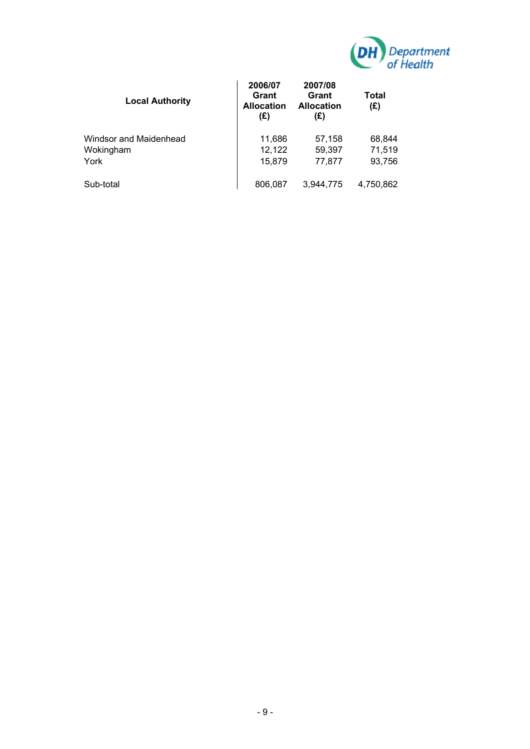

| <b>Local Authority</b>                      | 2006/07<br>Grant<br><b>Allocation</b><br>(E) | 2007/08<br>Grant<br><b>Allocation</b><br>(£) | Total<br>(E)               |
|---------------------------------------------|----------------------------------------------|----------------------------------------------|----------------------------|
| Windsor and Maidenhead<br>Wokingham<br>York | 11,686<br>12,122<br>15,879                   | 57,158<br>59,397<br>77,877                   | 68,844<br>71,519<br>93,756 |
| Sub-total                                   | 806,087                                      | 3.944.775                                    | 4,750,862                  |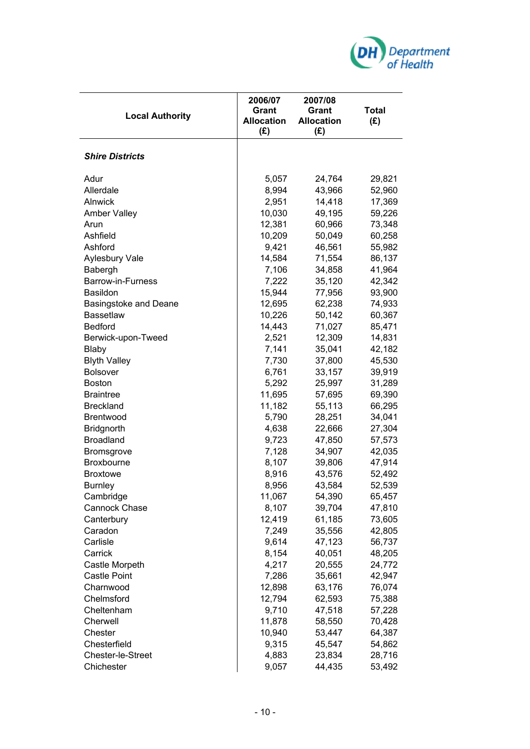

| <b>Local Authority</b>       | 2006/07<br><b>Grant</b><br><b>Allocation</b><br>(E) | 2007/08<br>Grant<br><b>Allocation</b><br>(E) | Total<br>(E) |
|------------------------------|-----------------------------------------------------|----------------------------------------------|--------------|
| <b>Shire Districts</b>       |                                                     |                                              |              |
| Adur                         | 5,057                                               | 24,764                                       | 29,821       |
| Allerdale                    | 8,994                                               | 43,966                                       | 52,960       |
| Alnwick                      | 2,951                                               | 14,418                                       | 17,369       |
| <b>Amber Valley</b>          | 10,030                                              | 49,195                                       | 59,226       |
| Arun                         | 12,381                                              | 60,966                                       | 73,348       |
| Ashfield                     | 10,209                                              | 50,049                                       | 60,258       |
| Ashford                      | 9,421                                               | 46,561                                       | 55,982       |
| Aylesbury Vale               | 14,584                                              | 71,554                                       | 86,137       |
| Babergh                      | 7,106                                               | 34,858                                       | 41,964       |
| Barrow-in-Furness            | 7,222                                               | 35,120                                       | 42,342       |
| Basildon                     | 15,944                                              | 77,956                                       | 93,900       |
| <b>Basingstoke and Deane</b> | 12,695                                              | 62,238                                       | 74,933       |
| <b>Bassetlaw</b>             | 10,226                                              | 50,142                                       | 60,367       |
| <b>Bedford</b>               | 14,443                                              | 71,027                                       | 85,471       |
| Berwick-upon-Tweed           | 2,521                                               | 12,309                                       | 14,831       |
| Blaby                        | 7,141                                               | 35,041                                       | 42,182       |
| <b>Blyth Valley</b>          | 7,730                                               | 37,800                                       | 45,530       |
| <b>Bolsover</b>              | 6,761                                               | 33,157                                       | 39,919       |
| <b>Boston</b>                | 5,292                                               | 25,997                                       | 31,289       |
| <b>Braintree</b>             | 11,695                                              | 57,695                                       | 69,390       |
| <b>Breckland</b>             | 11,182                                              | 55,113                                       | 66,295       |
| Brentwood                    | 5,790                                               | 28,251                                       | 34,041       |
| <b>Bridgnorth</b>            | 4,638                                               | 22,666                                       | 27,304       |
| <b>Broadland</b>             | 9,723                                               | 47,850                                       | 57,573       |
| <b>Bromsgrove</b>            | 7,128                                               | 34,907                                       | 42,035       |
| <b>Broxbourne</b>            | 8,107                                               | 39,806                                       | 47,914       |
| <b>Broxtowe</b>              | 8,916                                               | 43,576                                       | 52,492       |
| <b>Burnley</b>               | 8,956                                               | 43,584                                       | 52,539       |
| Cambridge                    | 11,067                                              | 54,390                                       | 65,457       |
| Cannock Chase                | 8,107                                               | 39,704                                       | 47,810       |
| Canterbury                   | 12,419                                              | 61,185                                       | 73,605       |
| Caradon                      | 7,249                                               | 35,556                                       | 42,805       |
| Carlisle                     | 9,614                                               | 47,123                                       | 56,737       |
| Carrick                      | 8,154                                               | 40,051                                       | 48,205       |
| Castle Morpeth               | 4,217                                               | 20,555                                       | 24,772       |
| <b>Castle Point</b>          | 7,286                                               | 35,661                                       | 42,947       |
| Charnwood                    | 12,898                                              | 63,176                                       | 76,074       |
| Chelmsford                   | 12,794                                              | 62,593                                       | 75,388       |
| Cheltenham                   | 9,710                                               | 47,518                                       | 57,228       |
| Cherwell                     | 11,878                                              | 58,550                                       | 70,428       |
| Chester                      | 10,940                                              | 53,447                                       | 64,387       |
| Chesterfield                 | 9,315                                               | 45,547                                       | 54,862       |
| Chester-le-Street            | 4,883                                               | 23,834                                       | 28,716       |
| Chichester                   | 9,057                                               | 44,435                                       | 53,492       |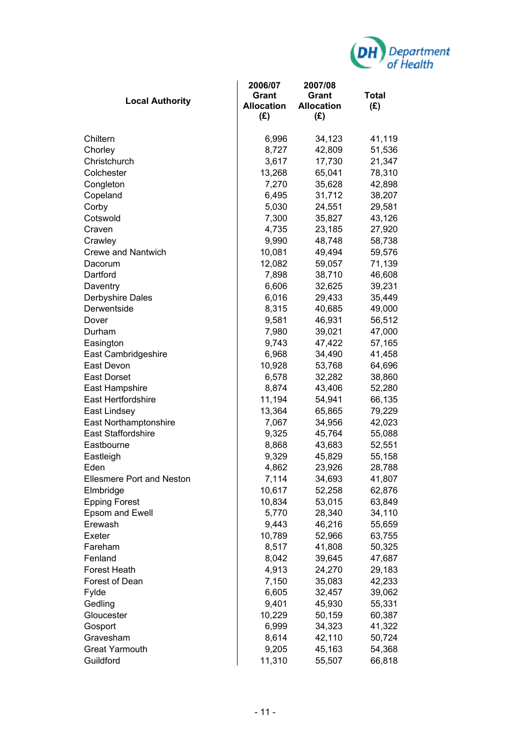

| <b>Local Authority</b>           | 2006/07<br>Grant<br><b>Allocation</b><br>(E) | 2007/08<br>Grant<br><b>Allocation</b><br>(E) | <b>Total</b><br>(E) |
|----------------------------------|----------------------------------------------|----------------------------------------------|---------------------|
| Chiltern                         | 6,996                                        | 34,123                                       | 41,119              |
| Chorley                          | 8,727                                        | 42,809                                       | 51,536              |
| Christchurch                     | 3,617                                        | 17,730                                       | 21,347              |
| Colchester                       | 13,268                                       | 65,041                                       | 78,310              |
| Congleton                        | 7,270                                        | 35,628                                       | 42,898              |
| Copeland                         | 6,495                                        | 31,712                                       | 38,207              |
| Corby                            | 5,030                                        | 24,551                                       | 29,581              |
| Cotswold                         | 7,300                                        | 35,827                                       | 43,126              |
| Craven                           | 4,735                                        | 23,185                                       | 27,920              |
| Crawley                          | 9,990                                        | 48,748                                       | 58,738              |
| <b>Crewe and Nantwich</b>        | 10,081                                       | 49,494                                       | 59,576              |
| Dacorum                          | 12,082                                       | 59,057                                       | 71,139              |
| Dartford                         | 7,898                                        | 38,710                                       | 46,608              |
| Daventry                         | 6,606                                        | 32,625                                       | 39,231              |
| Derbyshire Dales                 | 6,016                                        | 29,433                                       | 35,449              |
| Derwentside                      | 8,315                                        | 40,685                                       | 49,000              |
| Dover                            | 9,581                                        | 46,931                                       | 56,512              |
| Durham                           | 7,980                                        | 39,021                                       | 47,000              |
| Easington                        | 9,743                                        | 47,422                                       | 57,165              |
| East Cambridgeshire              | 6,968                                        | 34,490                                       | 41,458              |
| East Devon                       | 10,928                                       | 53,768                                       | 64,696              |
| <b>East Dorset</b>               | 6,578                                        | 32,282                                       | 38,860              |
| East Hampshire                   | 8,874                                        | 43,406                                       | 52,280              |
| <b>East Hertfordshire</b>        | 11,194                                       | 54,941                                       | 66,135              |
| East Lindsey                     | 13,364                                       | 65,865                                       | 79,229              |
| East Northamptonshire            | 7,067                                        | 34,956                                       | 42,023              |
| <b>East Staffordshire</b>        | 9,325                                        | 45,764                                       | 55,088              |
| Eastbourne                       | 8,868                                        | 43,683                                       | 52,551              |
| Eastleigh                        | 9,329                                        | 45,829                                       | 55,158              |
| Eden                             | 4,862                                        | 23,926                                       | 28,788              |
| <b>Ellesmere Port and Neston</b> | 7,114                                        | 34,693                                       | 41,807              |
| Elmbridge                        | 10,617                                       | 52,258                                       | 62,876              |
| <b>Epping Forest</b>             | 10,834                                       | 53,015                                       | 63,849              |
| Epsom and Ewell                  | 5,770                                        | 28,340                                       | 34,110              |
| Erewash                          | 9,443                                        | 46,216                                       | 55,659              |
| Exeter                           | 10,789                                       | 52,966                                       | 63,755              |
| Fareham                          | 8,517                                        | 41,808                                       | 50,325              |
| Fenland                          | 8,042                                        | 39,645                                       | 47,687              |
| <b>Forest Heath</b>              | 4,913                                        | 24,270                                       | 29,183              |
| Forest of Dean                   | 7,150                                        | 35,083                                       | 42,233              |
| Fylde                            | 6,605                                        | 32,457                                       | 39,062              |
| Gedling                          | 9,401                                        | 45,930                                       | 55,331              |
| Gloucester                       | 10,229                                       | 50,159                                       | 60,387              |
| Gosport                          | 6,999                                        | 34,323                                       | 41,322              |
| Gravesham                        | 8,614                                        | 42,110                                       | 50,724              |
| <b>Great Yarmouth</b>            | 9,205                                        | 45,163                                       | 54,368              |
| Guildford                        | 11,310                                       | 55,507                                       | 66,818              |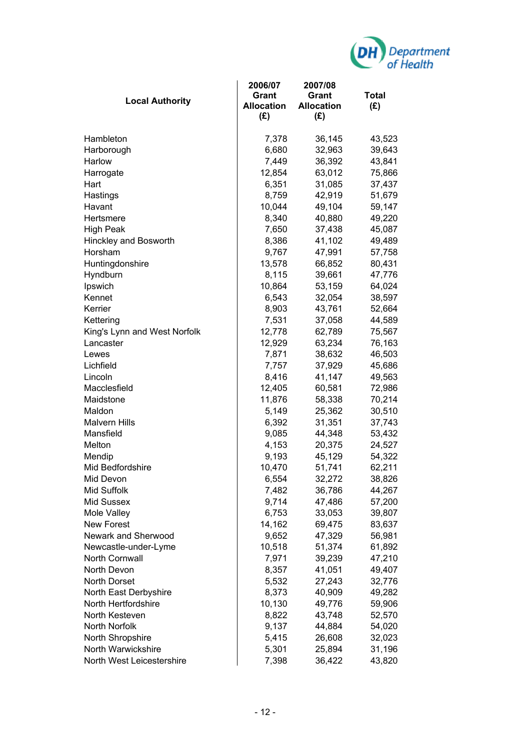

| <b>Local Authority</b>       | 2006/07<br>Grant<br><b>Allocation</b><br>(E) | 2007/08<br>Grant<br><b>Allocation</b><br>(E) | <b>Total</b><br>(E) |
|------------------------------|----------------------------------------------|----------------------------------------------|---------------------|
| Hambleton                    | 7,378                                        | 36,145                                       | 43,523              |
| Harborough                   | 6,680                                        | 32,963                                       | 39,643              |
| Harlow                       | 7,449                                        | 36,392                                       | 43,841              |
| Harrogate                    | 12,854                                       | 63,012                                       | 75,866              |
| Hart                         | 6,351                                        | 31,085                                       | 37,437              |
| Hastings                     | 8,759                                        | 42,919                                       | 51,679              |
| Havant                       | 10,044                                       | 49,104                                       | 59,147              |
| Hertsmere                    | 8,340                                        | 40,880                                       | 49,220              |
| <b>High Peak</b>             | 7,650                                        | 37,438                                       | 45,087              |
| Hinckley and Bosworth        | 8,386                                        | 41,102                                       | 49,489              |
| Horsham                      | 9,767                                        | 47,991                                       | 57,758              |
| Huntingdonshire              | 13,578                                       | 66,852                                       | 80,431              |
| Hyndburn                     | 8,115                                        | 39,661                                       | 47,776              |
| Ipswich                      | 10,864                                       | 53,159                                       | 64,024              |
| Kennet                       | 6,543                                        | 32,054                                       | 38,597              |
| Kerrier                      | 8,903                                        | 43,761                                       | 52,664              |
| Kettering                    | 7,531                                        | 37,058                                       | 44,589              |
| King's Lynn and West Norfolk | 12,778                                       | 62,789                                       | 75,567              |
| Lancaster                    | 12,929                                       | 63,234                                       | 76,163              |
| Lewes                        | 7,871                                        | 38,632                                       | 46,503              |
| Lichfield                    | 7,757                                        | 37,929                                       | 45,686              |
| Lincoln                      | 8,416                                        | 41,147                                       | 49,563              |
| Macclesfield                 | 12,405                                       | 60,581                                       | 72,986              |
| Maidstone                    | 11,876                                       | 58,338                                       | 70,214              |
| Maldon                       | 5,149                                        | 25,362                                       | 30,510              |
| <b>Malvern Hills</b>         | 6,392                                        | 31,351                                       | 37,743              |
| Mansfield                    | 9,085                                        | 44,348                                       | 53,432              |
| Melton                       | 4,153                                        | 20,375                                       | 24,527              |
| Mendip                       | 9,193                                        | 45,129                                       | 54,322              |
| Mid Bedfordshire             | 10,470                                       | 51,741                                       | 62,211              |
| Mid Devon                    | 6,554                                        | 32,272                                       | 38,826              |
| Mid Suffolk                  | 7,482                                        | 36,786                                       | 44,267              |
| Mid Sussex                   | 9,714                                        | 47,486                                       | 57,200              |
| Mole Valley                  | 6,753                                        | 33,053                                       | 39,807              |
| <b>New Forest</b>            | 14,162                                       | 69,475                                       | 83,637              |
| Newark and Sherwood          | 9,652                                        | 47,329                                       | 56,981              |
| Newcastle-under-Lyme         | 10,518                                       | 51,374                                       | 61,892              |
| North Cornwall               | 7,971                                        | 39,239                                       | 47,210              |
| North Devon                  | 8,357                                        | 41,051                                       | 49,407              |
| North Dorset                 | 5,532                                        | 27,243                                       | 32,776              |
| North East Derbyshire        | 8,373                                        | 40,909                                       | 49,282              |
| North Hertfordshire          | 10,130                                       | 49,776                                       | 59,906              |
| North Kesteven               | 8,822                                        | 43,748                                       | 52,570              |
| North Norfolk                | 9,137                                        | 44,884                                       | 54,020              |
| North Shropshire             | 5,415                                        | 26,608                                       | 32,023              |
| North Warwickshire           | 5,301                                        | 25,894                                       | 31,196              |
| North West Leicestershire    | 7,398                                        | 36,422                                       | 43,820              |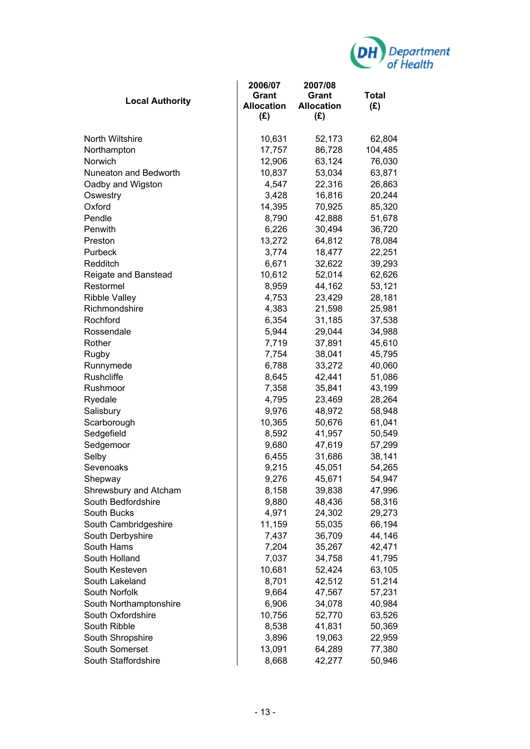

| <b>Local Authority</b> | 2006/07<br>Grant<br><b>Allocation</b><br>(E) | 2007/08<br>Grant<br><b>Allocation</b><br>$(\mathbf{f})$ | <b>Total</b><br>(E) |
|------------------------|----------------------------------------------|---------------------------------------------------------|---------------------|
| <b>North Wiltshire</b> | 10,631                                       | 52,173                                                  | 62,804              |
| Northampton            | 17,757                                       | 86,728                                                  | 104,485             |
| Norwich                | 12,906                                       | 63,124                                                  | 76,030              |
| Nuneaton and Bedworth  | 10,837                                       | 53,034                                                  | 63,871              |
| Oadby and Wigston      | 4,547                                        | 22,316                                                  | 26,863              |
| Oswestry               | 3,428                                        | 16,816                                                  | 20,244              |
| Oxford                 | 14,395                                       | 70,925                                                  | 85,320              |
| Pendle                 | 8,790                                        | 42,888                                                  | 51,678              |
| Penwith                | 6,226                                        | 30,494                                                  | 36,720              |
| Preston                | 13,272                                       | 64,812                                                  | 78,084              |
| Purbeck                | 3,774                                        | 18,477                                                  | 22,251              |
| Redditch               | 6,671                                        | 32,622                                                  | 39,293              |
| Reigate and Banstead   | 10,612                                       | 52,014                                                  | 62,626              |
| Restormel              | 8,959                                        | 44,162                                                  | 53,121              |
| <b>Ribble Valley</b>   | 4,753                                        | 23,429                                                  | 28,181              |
| Richmondshire          | 4,383                                        | 21,598                                                  | 25,981              |
| Rochford               | 6,354                                        | 31,185                                                  | 37,538              |
| Rossendale             | 5,944                                        | 29,044                                                  | 34,988              |
| Rother                 | 7,719                                        | 37,891                                                  | 45,610              |
| Rugby                  | 7,754                                        | 38,041                                                  | 45,795              |
| Runnymede              | 6,788                                        | 33,272                                                  | 40,060              |
| <b>Rushcliffe</b>      | 8,645                                        | 42,441                                                  | 51,086              |
| Rushmoor               | 7,358                                        | 35,841                                                  | 43,199              |
| Ryedale                | 4,795                                        | 23,469                                                  | 28,264              |
| Salisbury              | 9,976                                        | 48,972                                                  | 58,948              |
| Scarborough            | 10,365                                       | 50,676                                                  | 61,041              |
| Sedgefield             | 8,592                                        | 41,957                                                  | 50,549              |
| Sedgemoor              | 9,680                                        | 47,619                                                  | 57,299              |
| Selby                  | 6,455                                        | 31,686                                                  | 38,141              |
| Sevenoaks              | 9,215                                        | 45,051                                                  | 54,265              |
| Shepway                | 9,276                                        | 45,671                                                  | 54,947              |
| Shrewsbury and Atcham  | 8,158                                        | 39,838                                                  | 47,996              |
| South Bedfordshire     | 9,880                                        | 48,436                                                  | 58,316              |
| South Bucks            | 4,971                                        | 24,302                                                  | 29,273              |
| South Cambridgeshire   | 11,159                                       | 55,035                                                  | 66,194              |
| South Derbyshire       | 7,437                                        | 36,709                                                  | 44,146              |
| South Hams             | 7,204                                        | 35,267                                                  | 42,471              |
| South Holland          | 7,037                                        | 34,758                                                  | 41,795              |
| South Kesteven         | 10,681                                       | 52,424                                                  | 63,105              |
| South Lakeland         | 8,701                                        | 42,512                                                  | 51,214              |
| South Norfolk          | 9,664                                        | 47,567                                                  | 57,231              |
| South Northamptonshire | 6,906                                        | 34,078                                                  | 40,984              |
| South Oxfordshire      | 10,756                                       | 52,770                                                  | 63,526              |
| South Ribble           | 8,538                                        | 41,831                                                  | 50,369              |
| South Shropshire       | 3,896                                        | 19,063                                                  | 22,959              |
| South Somerset         | 13,091                                       | 64,289                                                  | 77,380              |
| South Staffordshire    | 8,668                                        | 42,277                                                  | 50,946              |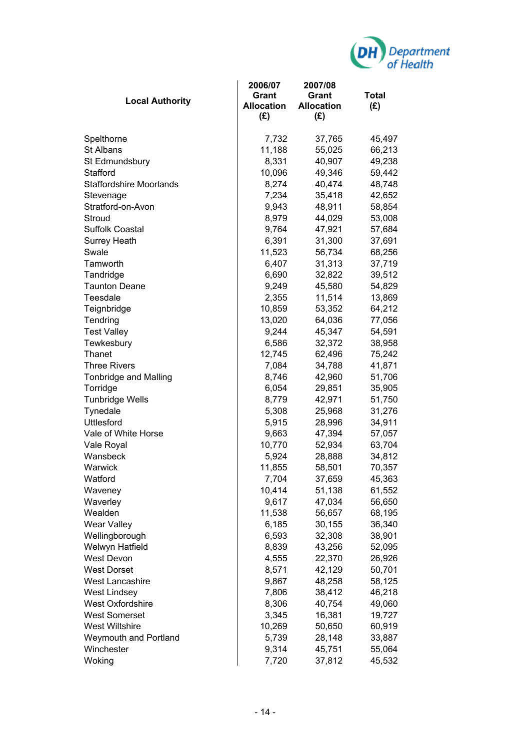

| <b>Local Authority</b>         | 2006/07<br><b>Grant</b><br><b>Allocation</b><br>(E) | 2007/08<br>Grant<br><b>Allocation</b><br>(E) | Total<br>(E) |
|--------------------------------|-----------------------------------------------------|----------------------------------------------|--------------|
| Spelthorne                     | 7,732                                               | 37,765                                       | 45,497       |
| <b>St Albans</b>               | 11,188                                              | 55,025                                       | 66,213       |
| St Edmundsbury                 | 8,331                                               | 40,907                                       | 49,238       |
| Stafford                       | 10,096                                              | 49,346                                       | 59,442       |
| <b>Staffordshire Moorlands</b> | 8,274                                               | 40,474                                       | 48,748       |
| Stevenage                      | 7,234                                               | 35,418                                       | 42,652       |
| Stratford-on-Avon              | 9,943                                               | 48,911                                       | 58,854       |
| Stroud                         | 8,979                                               | 44,029                                       | 53,008       |
| <b>Suffolk Coastal</b>         | 9,764                                               | 47,921                                       | 57,684       |
| <b>Surrey Heath</b>            | 6,391                                               | 31,300                                       | 37,691       |
| Swale                          | 11,523                                              | 56,734                                       | 68,256       |
| Tamworth                       | 6,407                                               | 31,313                                       | 37,719       |
| Tandridge                      | 6,690                                               | 32,822                                       | 39,512       |
| <b>Taunton Deane</b>           | 9,249                                               | 45,580                                       | 54,829       |
| Teesdale                       | 2,355                                               | 11,514                                       | 13,869       |
| Teignbridge                    | 10,859                                              | 53,352                                       | 64,212       |
| Tendring                       | 13,020                                              | 64,036                                       | 77,056       |
| <b>Test Valley</b>             | 9,244                                               | 45,347                                       | 54,591       |
| Tewkesbury                     | 6,586                                               | 32,372                                       | 38,958       |
| Thanet                         | 12,745                                              | 62,496                                       | 75,242       |
| <b>Three Rivers</b>            | 7,084                                               | 34,788                                       | 41,871       |
| <b>Tonbridge and Malling</b>   | 8,746                                               | 42,960                                       | 51,706       |
| Torridge                       | 6,054                                               | 29,851                                       | 35,905       |
| <b>Tunbridge Wells</b>         | 8,779                                               | 42,971                                       | 51,750       |
| Tynedale                       | 5,308                                               | 25,968                                       | 31,276       |
| <b>Uttlesford</b>              | 5,915                                               | 28,996                                       | 34,911       |
| Vale of White Horse            | 9,663                                               | 47,394                                       | 57,057       |
| Vale Royal                     | 10,770                                              | 52,934                                       | 63,704       |
| Wansbeck                       | 5,924                                               | 28,888                                       | 34,812       |
| Warwick                        | 11,855                                              | 58,501                                       | 70,357       |
| Watford                        | 7,704                                               | 37,659                                       | 45,363       |
| Waveney                        | 10,414                                              | 51,138                                       | 61,552       |
| Waverley                       | 9,617                                               | 47,034                                       | 56,650       |
| Wealden                        | 11,538                                              | 56,657                                       | 68,195       |
| <b>Wear Valley</b>             | 6,185                                               | 30,155                                       | 36,340       |
| Wellingborough                 | 6,593                                               | 32,308                                       | 38,901       |
| Welwyn Hatfield                | 8,839                                               | 43,256                                       | 52,095       |
| West Devon                     | 4,555                                               | 22,370                                       | 26,926       |
| <b>West Dorset</b>             | 8,571                                               | 42,129                                       | 50,701       |
| <b>West Lancashire</b>         | 9,867                                               | 48,258                                       | 58,125       |
| <b>West Lindsey</b>            | 7,806                                               | 38,412                                       | 46,218       |
| West Oxfordshire               | 8,306                                               | 40,754                                       | 49,060       |
| <b>West Somerset</b>           | 3,345                                               | 16,381                                       | 19,727       |
| <b>West Wiltshire</b>          | 10,269                                              | 50,650                                       | 60,919       |
| Weymouth and Portland          | 5,739                                               | 28,148                                       | 33,887       |
| Winchester                     | 9,314                                               | 45,751                                       | 55,064       |
| Woking                         | 7,720                                               | 37,812                                       | 45,532       |